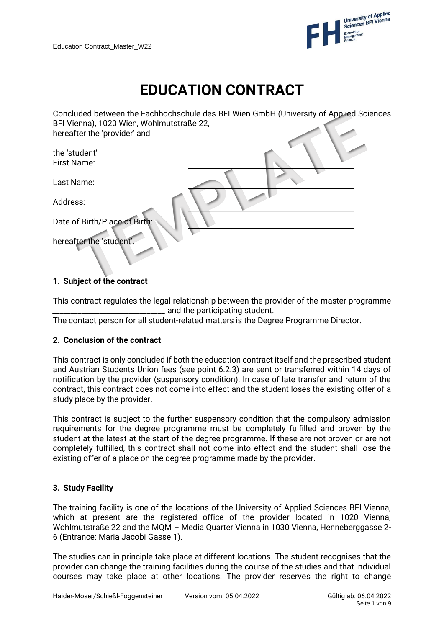

# **EDUCATION CONTRACT**

| BFI Vienna), 1020 Wien, Wohlmutstraße 22, | Concluded between the Fachhochschule des BFI Wien GmbH (University of Applied Sciences |
|-------------------------------------------|----------------------------------------------------------------------------------------|
| hereafter the 'provider' and              |                                                                                        |
| the 'student'                             |                                                                                        |
| First Name:                               |                                                                                        |
| Last Name:                                |                                                                                        |
| Address:                                  |                                                                                        |
| Date of Birth/Place of Birth:             |                                                                                        |
| hereafter the 'student'.                  |                                                                                        |

# **1. Subject of the contract**

This contract regulates the legal relationship between the provider of the master programme  $\equiv$  and the participating student.

The contact person for all student-related matters is the Degree Programme Director.

## **2. Conclusion of the contract**

This contract is only concluded if both the education contract itself and the prescribed student and Austrian Students Union fees (see point 6.2.3) are sent or transferred within 14 days of notification by the provider (suspensory condition). In case of late transfer and return of the contract, this contract does not come into effect and the student loses the existing offer of a study place by the provider.

This contract is subject to the further suspensory condition that the compulsory admission requirements for the degree programme must be completely fulfilled and proven by the student at the latest at the start of the degree programme. If these are not proven or are not completely fulfilled, this contract shall not come into effect and the student shall lose the existing offer of a place on the degree programme made by the provider.

## **3. Study Facility**

The training facility is one of the locations of the University of Applied Sciences BFI Vienna, which at present are the registered office of the provider located in 1020 Vienna, Wohlmutstraße 22 and the MQM – Media Quarter Vienna in 1030 Vienna, Henneberggasse 2- 6 (Entrance: Maria Jacobi Gasse 1).

The studies can in principle take place at different locations. The student recognises that the provider can change the training facilities during the course of the studies and that individual courses may take place at other locations. The provider reserves the right to change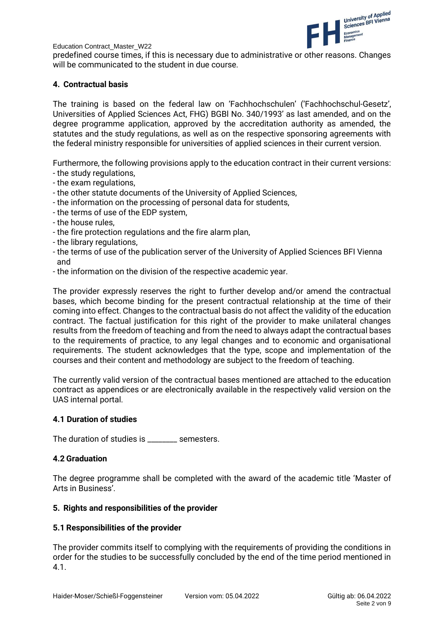

predefined course times, if this is necessary due to administrative or other reasons. Changes will be communicated to the student in due course.

## **4. Contractual basis**

The training is based on the federal law on 'Fachhochschulen' ('Fachhochschul-Gesetz', Universities of Applied Sciences Act, FHG) BGBl No. 340/1993' as last amended, and on the degree programme application, approved by the accreditation authority as amended, the statutes and the study regulations, as well as on the respective sponsoring agreements with the federal ministry responsible for universities of applied sciences in their current version.

Furthermore, the following provisions apply to the education contract in their current versions:

- the study regulations,
- the exam regulations,
- the other statute documents of the University of Applied Sciences,
- the information on the processing of personal data for students,
- the terms of use of the EDP system,
- the house rules,
- the fire protection regulations and the fire alarm plan,
- the library regulations,
- the terms of use of the publication server of the University of Applied Sciences BFI Vienna and
- the information on the division of the respective academic year.

The provider expressly reserves the right to further develop and/or amend the contractual bases, which become binding for the present contractual relationship at the time of their coming into effect. Changes to the contractual basis do not affect the validity of the education contract. The factual justification for this right of the provider to make unilateral changes results from the freedom of teaching and from the need to always adapt the contractual bases to the requirements of practice, to any legal changes and to economic and organisational requirements. The student acknowledges that the type, scope and implementation of the courses and their content and methodology are subject to the freedom of teaching.

The currently valid version of the contractual bases mentioned are attached to the education contract as appendices or are electronically available in the respectively valid version on the UAS internal portal.

## **4.1 Duration of studies**

The duration of studies is emesters.

## **4.2 Graduation**

The degree programme shall be completed with the award of the academic title 'Master of Arts in Business'.

## **5. Rights and responsibilities of the provider**

## **5.1 Responsibilities of the provider**

The provider commits itself to complying with the requirements of providing the conditions in order for the studies to be successfully concluded by the end of the time period mentioned in 4.1.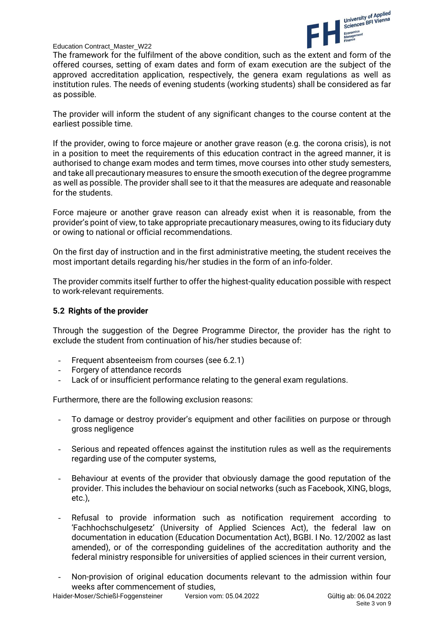

The framework for the fulfilment of the above condition, such as the extent and form of the offered courses, setting of exam dates and form of exam execution are the subject of the approved accreditation application, respectively, the genera exam regulations as well as institution rules. The needs of evening students (working students) shall be considered as far as possible.

The provider will inform the student of any significant changes to the course content at the earliest possible time.

If the provider, owing to force majeure or another grave reason (e.g. the corona crisis), is not in a position to meet the requirements of this education contract in the agreed manner, it is authorised to change exam modes and term times, move courses into other study semesters, and take all precautionary measures to ensure the smooth execution of the degree programme as well as possible. The provider shall see to it that the measures are adequate and reasonable for the students.

Force majeure or another grave reason can already exist when it is reasonable, from the provider's point of view, to take appropriate precautionary measures, owing to its fiduciary duty or owing to national or official recommendations.

On the first day of instruction and in the first administrative meeting, the student receives the most important details regarding his/her studies in the form of an info-folder.

The provider commits itself further to offer the highest-quality education possible with respect to work-relevant requirements.

#### **5.2 Rights of the provider**

Through the suggestion of the Degree Programme Director, the provider has the right to exclude the student from continuation of his/her studies because of:

- Frequent absenteeism from courses (see 6.2.1)
- Forgery of attendance records
- Lack of or insufficient performance relating to the general exam regulations.

Furthermore, there are the following exclusion reasons:

- To damage or destroy provider's equipment and other facilities on purpose or through gross negligence
- Serious and repeated offences against the institution rules as well as the requirements regarding use of the computer systems,
- Behaviour at events of the provider that obviously damage the good reputation of the provider. This includes the behaviour on social networks (such as Facebook, XING, blogs, etc.),
- Refusal to provide information such as notification requirement according to 'Fachhochschulgesetz' (University of Applied Sciences Act), the federal law on documentation in education (Education Documentation Act), BGBI. I No. 12/2002 as last amended), or of the corresponding guidelines of the accreditation authority and the federal ministry responsible for universities of applied sciences in their current version,
- Non-provision of original education documents relevant to the admission within four weeks after commencement of studies,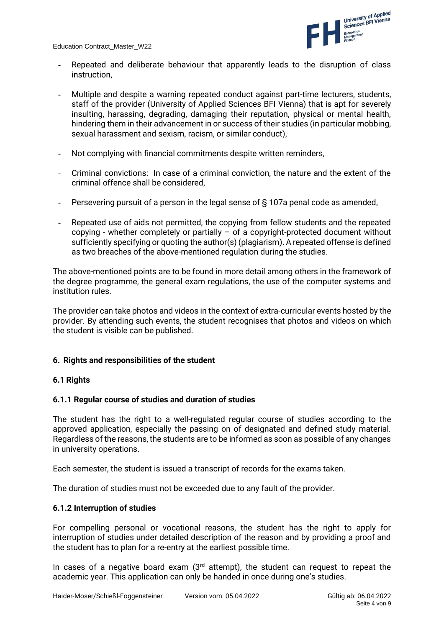

- Repeated and deliberate behaviour that apparently leads to the disruption of class instruction,
- Multiple and despite a warning repeated conduct against part-time lecturers, students, staff of the provider (University of Applied Sciences BFI Vienna) that is apt for severely insulting, harassing, degrading, damaging their reputation, physical or mental health, hindering them in their advancement in or success of their studies (in particular mobbing, sexual harassment and sexism, racism, or similar conduct),
- Not complying with financial commitments despite written reminders,
- Criminal convictions: In case of a criminal conviction, the nature and the extent of the criminal offence shall be considered,
- Persevering pursuit of a person in the legal sense of § 107a penal code as amended,
- Repeated use of aids not permitted, the copying from fellow students and the repeated copying - whether completely or partially  $-$  of a copyright-protected document without sufficiently specifying or quoting the author(s) (plagiarism). A repeated offense is defined as two breaches of the above-mentioned regulation during the studies.

The above-mentioned points are to be found in more detail among others in the framework of the degree programme, the general exam regulations, the use of the computer systems and institution rules.

The provider can take photos and videos in the context of extra-curricular events hosted by the provider. By attending such events, the student recognises that photos and videos on which the student is visible can be published.

## **6. Rights and responsibilities of the student**

## **6.1 Rights**

## **6.1.1 Regular course of studies and duration of studies**

The student has the right to a well-regulated regular course of studies according to the approved application, especially the passing on of designated and defined study material. Regardless of the reasons, the students are to be informed as soon as possible of any changes in university operations.

Each semester, the student is issued a transcript of records for the exams taken.

The duration of studies must not be exceeded due to any fault of the provider.

## **6.1.2 Interruption of studies**

For compelling personal or vocational reasons, the student has the right to apply for interruption of studies under detailed description of the reason and by providing a proof and the student has to plan for a re-entry at the earliest possible time.

In cases of a negative board exam  $(3<sup>rd</sup>$  attempt), the student can request to repeat the academic year. This application can only be handed in once during one's studies.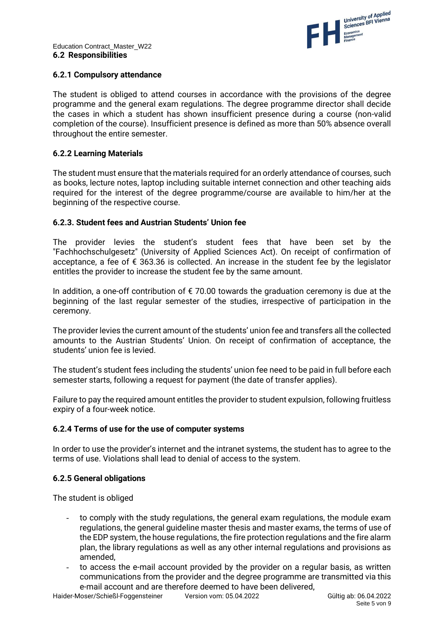## **6.2.1 Compulsory attendance**

The student is obliged to attend courses in accordance with the provisions of the degree programme and the general exam regulations. The degree programme director shall decide the cases in which a student has shown insufficient presence during a course (non-valid completion of the course). Insufficient presence is defined as more than 50% absence overall throughout the entire semester.

## **6.2.2 Learning Materials**

The student must ensure that the materials required for an orderly attendance of courses, such as books, lecture notes, laptop including suitable internet connection and other teaching aids required for the interest of the degree programme/course are available to him/her at the beginning of the respective course.

## **6.2.3. Student fees and Austrian Students' Union fee**

The provider levies the student's student fees that have been set by the "Fachhochschulgesetz" (University of Applied Sciences Act). On receipt of confirmation of acceptance, a fee of  $\epsilon$  363.36 is collected. An increase in the student fee by the legislator entitles the provider to increase the student fee by the same amount.

In addition, a one-off contribution of  $\epsilon$  70.00 towards the graduation ceremony is due at the beginning of the last regular semester of the studies, irrespective of participation in the ceremony.

The provider levies the current amount of the students' union fee and transfers all the collected amounts to the Austrian Students' Union. On receipt of confirmation of acceptance, the students' union fee is levied.

The student's student fees including the students' union fee need to be paid in full before each semester starts, following a request for payment (the date of transfer applies).

Failure to pay the required amount entitles the provider to student expulsion, following fruitless expiry of a four-week notice.

## **6.2.4 Terms of use for the use of computer systems**

In order to use the provider's internet and the intranet systems, the student has to agree to the terms of use. Violations shall lead to denial of access to the system.

## **6.2.5 General obligations**

The student is obliged

- to comply with the study regulations, the general exam regulations, the module exam regulations, the general guideline master thesis and master exams, the terms of use of the EDP system, the house regulations, the fire protection regulations and the fire alarm plan, the library regulations as well as any other internal regulations and provisions as amended,
- to access the e-mail account provided by the provider on a regular basis, as written communications from the provider and the degree programme are transmitted via this e-mail account and are therefore deemed to have been delivered,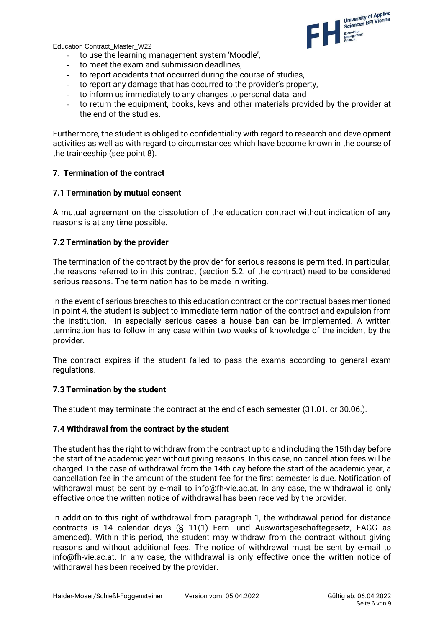

- to use the learning management system 'Moodle',
- to meet the exam and submission deadlines.
- to report accidents that occurred during the course of studies,
- to report any damage that has occurred to the provider's property,
- to inform us immediately to any changes to personal data, and
- to return the equipment, books, keys and other materials provided by the provider at the end of the studies.

Furthermore, the student is obliged to confidentiality with regard to research and development activities as well as with regard to circumstances which have become known in the course of the traineeship (see point 8).

#### **7. Termination of the contract**

#### **7.1 Termination by mutual consent**

A mutual agreement on the dissolution of the education contract without indication of any reasons is at any time possible.

#### **7.2 Termination by the provider**

The termination of the contract by the provider for serious reasons is permitted. In particular, the reasons referred to in this contract (section 5.2. of the contract) need to be considered serious reasons. The termination has to be made in writing.

In the event of serious breaches to this education contract or the contractual bases mentioned in point 4, the student is subject to immediate termination of the contract and expulsion from the institution. In especially serious cases a house ban can be implemented. A written termination has to follow in any case within two weeks of knowledge of the incident by the provider.

The contract expires if the student failed to pass the exams according to general exam regulations.

#### **7.3 Termination by the student**

The student may terminate the contract at the end of each semester (31.01. or 30.06.).

#### **7.4 Withdrawal from the contract by the student**

The student has the right to withdraw from the contract up to and including the 15th day before the start of the academic year without giving reasons. In this case, no cancellation fees will be charged. In the case of withdrawal from the 14th day before the start of the academic year, a cancellation fee in the amount of the student fee for the first semester is due. Notification of withdrawal must be sent by e-mail to info@fh-vie.ac.at. In any case, the withdrawal is only effective once the written notice of withdrawal has been received by the provider.

In addition to this right of withdrawal from paragraph 1, the withdrawal period for distance contracts is 14 calendar days (§ 11(1) Fern- und Auswärtsgeschäftegesetz, FAGG as amended). Within this period, the student may withdraw from the contract without giving reasons and without additional fees. The notice of withdrawal must be sent by e-mail to info@fh-vie.ac.at. In any case, the withdrawal is only effective once the written notice of withdrawal has been received by the provider.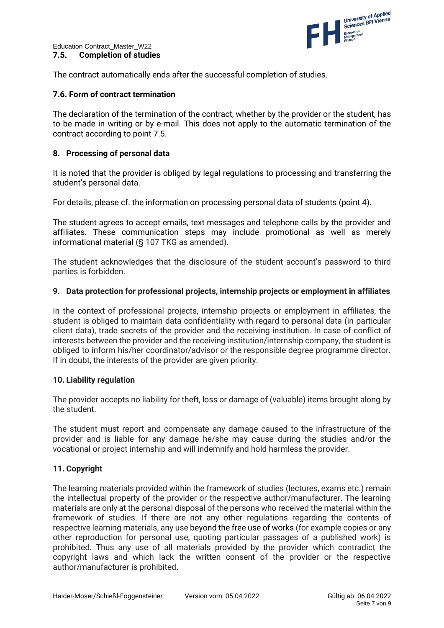

The contract automatically ends after the successful completion of studies.

## **7.6. Form of contract termination**

The declaration of the termination of the contract, whether by the provider or the student, has to be made in writing or by e-mail. This does not apply to the automatic termination of the contract according to point 7.5.

## **8. Processing of personal data**

It is noted that the provider is obliged by legal regulations to processing and transferring the student's personal data.

For details, please cf. the information on processing personal data of students (point 4).

The student agrees to accept emails, text messages and telephone calls by the provider and affiliates. These communication steps may include promotional as well as merely informational material (§ 107 TKG as amended).

The student acknowledges that the disclosure of the student account's password to third parties is forbidden.

#### **9. Data protection for professional projects, internship projects or employment in affiliates**

In the context of professional projects, internship projects or employment in affiliates, the student is obliged to maintain data confidentiality with regard to personal data (in particular client data), trade secrets of the provider and the receiving institution. In case of conflict of interests between the provider and the receiving institution/internship company, the student is obliged to inform his/her coordinator/advisor or the responsible degree programme director. If in doubt, the interests of the provider are given priority.

## **10. Liability regulation**

The provider accepts no liability for theft, loss or damage of (valuable) items brought along by the student.

The student must report and compensate any damage caused to the infrastructure of the provider and is liable for any damage he/she may cause during the studies and/or the vocational or project internship and will indemnify and hold harmless the provider.

## **11. Copyright**

The learning materials provided within the framework of studies (lectures, exams etc.) remain the intellectual property of the provider or the respective author/manufacturer. The learning materials are only at the personal disposal of the persons who received the material within the framework of studies. If there are not any other regulations regarding the contents of respective learning materials, any use beyond the free use of works (for example copies or any other reproduction for personal use, quoting particular passages of a published work) is prohibited. Thus any use of all materials provided by the provider which contradict the copyright laws and which lack the written consent of the provider or the respective author/manufacturer is prohibited.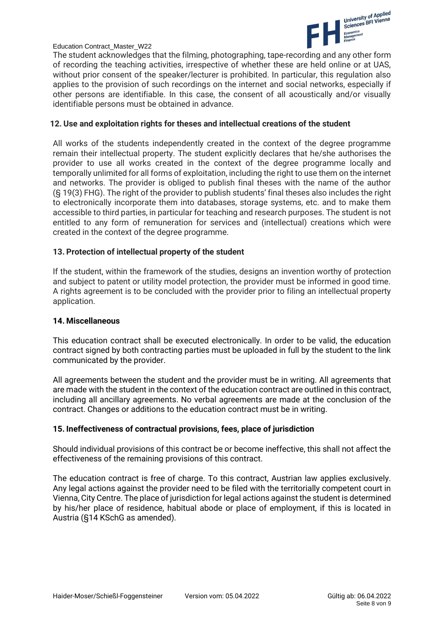

The student acknowledges that the filming, photographing, tape-recording and any other form of recording the teaching activities, irrespective of whether these are held online or at UAS, without prior consent of the speaker/lecturer is prohibited. In particular, this regulation also applies to the provision of such recordings on the internet and social networks, especially if other persons are identifiable. In this case, the consent of all acoustically and/or visually identifiable persons must be obtained in advance.

#### **12. Use and exploitation rights for theses and intellectual creations of the student**

All works of the students independently created in the context of the degree programme remain their intellectual property. The student explicitly declares that he/she authorises the provider to use all works created in the context of the degree programme locally and temporally unlimited for all forms of exploitation, including the right to use them on the internet and networks. The provider is obliged to publish final theses with the name of the author (§ 19(3) FHG). The right of the provider to publish students' final theses also includes the right to electronically incorporate them into databases, storage systems, etc. and to make them accessible to third parties, in particular for teaching and research purposes. The student is not entitled to any form of remuneration for services and (intellectual) creations which were created in the context of the degree programme.

## **13. Protection of intellectual property of the student**

If the student, within the framework of the studies, designs an invention worthy of protection and subject to patent or utility model protection, the provider must be informed in good time. A rights agreement is to be concluded with the provider prior to filing an intellectual property application.

#### **14. Miscellaneous**

This education contract shall be executed electronically. In order to be valid, the education contract signed by both contracting parties must be uploaded in full by the student to the link communicated by the provider.

All agreements between the student and the provider must be in writing. All agreements that are made with the student in the context of the education contract are outlined in this contract, including all ancillary agreements. No verbal agreements are made at the conclusion of the contract. Changes or additions to the education contract must be in writing.

## **15. Ineffectiveness of contractual provisions, fees, place of jurisdiction**

Should individual provisions of this contract be or become ineffective, this shall not affect the effectiveness of the remaining provisions of this contract.

The education contract is free of charge. To this contract, Austrian law applies exclusively. Any legal actions against the provider need to be filed with the territorially competent court in Vienna, City Centre. The place of jurisdiction for legal actions against the student is determined by his/her place of residence, habitual abode or place of employment, if this is located in Austria (§14 KSchG as amended).